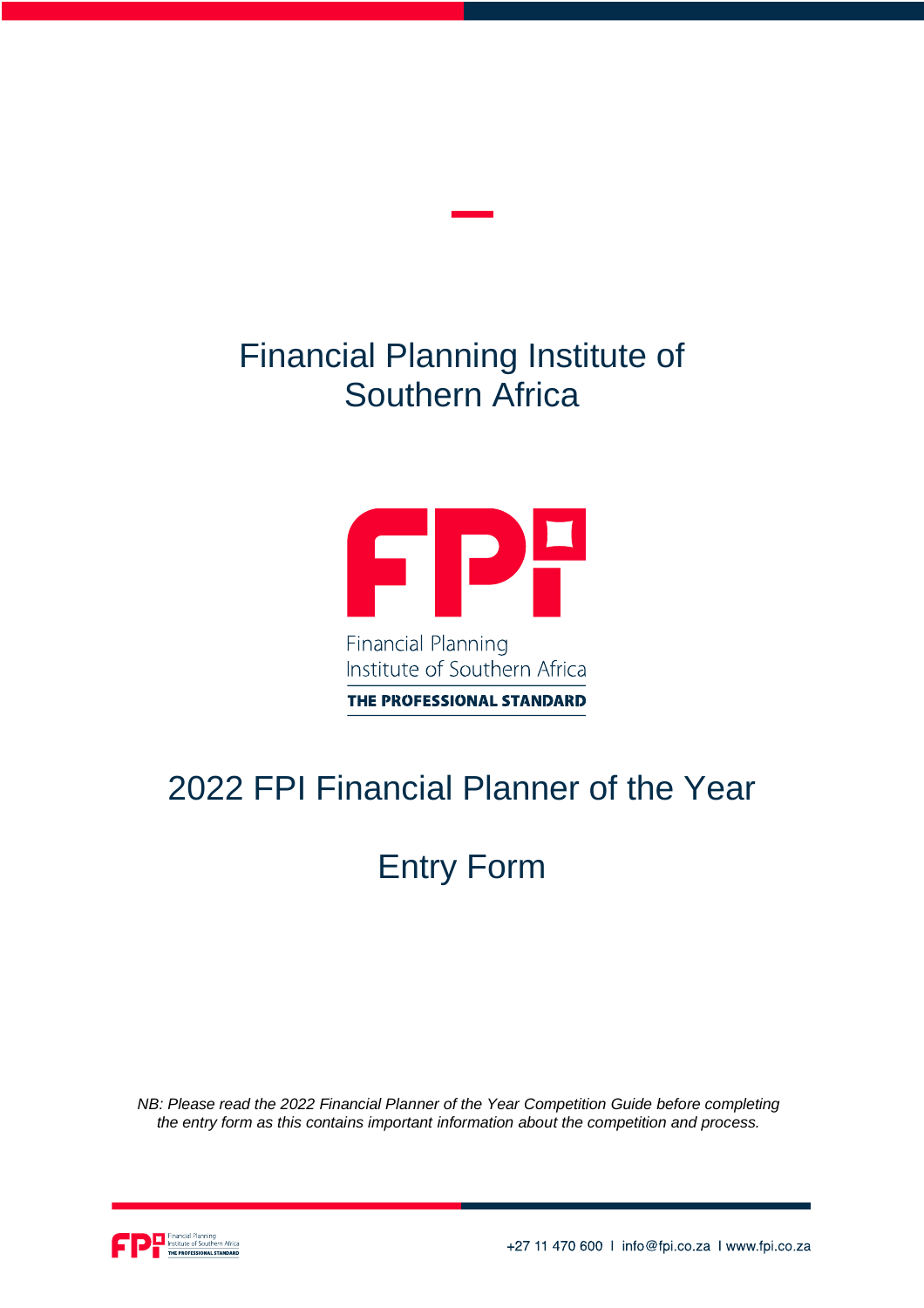## Financial Planning Institute of Southern Africa



Institute of Southern Africa

THE PROFESSIONAL STANDARD

## 2022 FPI Financial Planner of the Year

# Entry Form

*NB: Please read the 2022 Financial Planner of the Year Competition Guide before completing the entry form as this contains important information about the competition and process.*

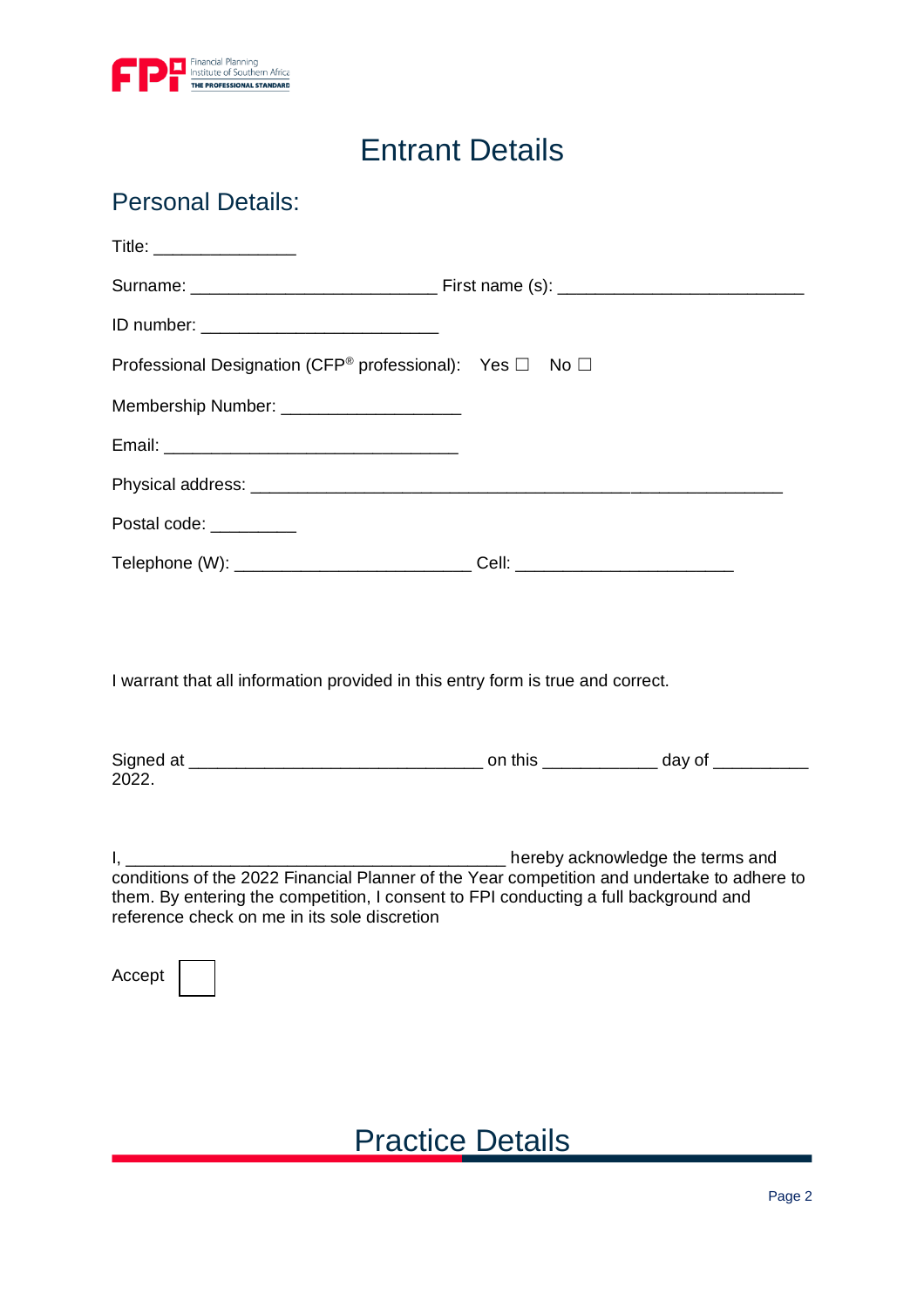

### Entrant Details

#### Personal Details:

| Title: __________________                                                                                                                                                                                                           |                                           |
|-------------------------------------------------------------------------------------------------------------------------------------------------------------------------------------------------------------------------------------|-------------------------------------------|
|                                                                                                                                                                                                                                     |                                           |
|                                                                                                                                                                                                                                     |                                           |
| Professional Designation (CFP® professional): Yes □ No □                                                                                                                                                                            |                                           |
| Membership Number: ____________________                                                                                                                                                                                             |                                           |
|                                                                                                                                                                                                                                     |                                           |
|                                                                                                                                                                                                                                     |                                           |
| Postal code: _________                                                                                                                                                                                                              |                                           |
| Telephone (W): ______________________________Cell: _____________________________                                                                                                                                                    |                                           |
| I warrant that all information provided in this entry form is true and correct.                                                                                                                                                     |                                           |
| 2022.                                                                                                                                                                                                                               |                                           |
| conditions of the 2022 Financial Planner of the Year competition and undertake to adhere to<br>them. By entering the competition, I consent to FPI conducting a full background and<br>reference check on me in its sole discretion | ________ hereby acknowledge the terms and |
| Accept                                                                                                                                                                                                                              |                                           |

### Practice Details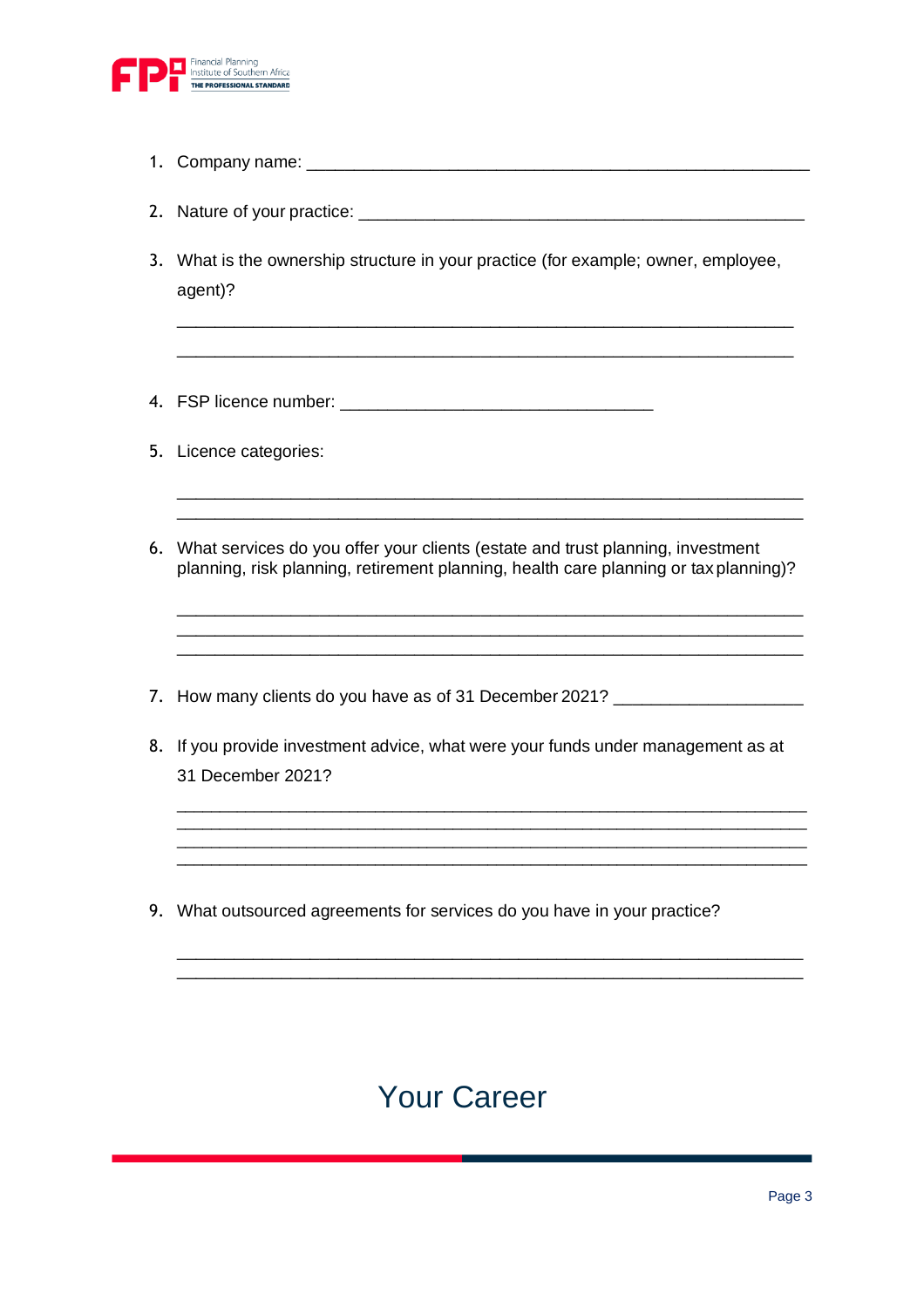

- 1. Company name:
- 2. Nature of your practice: \_\_\_\_\_\_\_\_\_\_\_\_\_\_\_\_\_\_\_\_\_\_\_\_\_\_\_\_\_\_\_\_\_\_\_\_\_\_\_\_\_\_\_\_\_\_\_
- 3. What is the ownership structure in your practice (for example; owner, employee, agent)?

\_\_\_\_\_\_\_\_\_\_\_\_\_\_\_\_\_\_\_\_\_\_\_\_\_\_\_\_\_\_\_\_\_\_\_\_\_\_\_\_\_\_\_\_\_\_\_\_\_\_\_\_\_\_\_\_\_\_\_\_\_\_\_\_\_ \_\_\_\_\_\_\_\_\_\_\_\_\_\_\_\_\_\_\_\_\_\_\_\_\_\_\_\_\_\_\_\_\_\_\_\_\_\_\_\_\_\_\_\_\_\_\_\_\_\_\_\_\_\_\_\_\_\_\_\_\_\_\_\_\_

- 4. FSP licence number: \_\_\_\_\_\_\_\_\_\_\_\_\_\_\_\_\_\_\_\_\_\_\_\_\_\_\_\_\_\_\_\_\_
- 5. Licence categories:
- 6. What services do you offer your clients (estate and trust planning, investment planning, risk planning, retirement planning, health care planning or tax planning)?

\_\_\_\_\_\_\_\_\_\_\_\_\_\_\_\_\_\_\_\_\_\_\_\_\_\_\_\_\_\_\_\_\_\_\_\_\_\_\_\_\_\_\_\_\_\_\_\_\_\_\_\_\_\_\_\_\_\_\_\_\_\_\_\_\_\_ \_\_\_\_\_\_\_\_\_\_\_\_\_\_\_\_\_\_\_\_\_\_\_\_\_\_\_\_\_\_\_\_\_\_\_\_\_\_\_\_\_\_\_\_\_\_\_\_\_\_\_\_\_\_\_\_\_\_\_\_\_\_\_\_\_\_

\_\_\_\_\_\_\_\_\_\_\_\_\_\_\_\_\_\_\_\_\_\_\_\_\_\_\_\_\_\_\_\_\_\_\_\_\_\_\_\_\_\_\_\_\_\_\_\_\_\_\_\_\_\_\_\_\_\_\_\_\_\_\_\_\_\_ \_\_\_\_\_\_\_\_\_\_\_\_\_\_\_\_\_\_\_\_\_\_\_\_\_\_\_\_\_\_\_\_\_\_\_\_\_\_\_\_\_\_\_\_\_\_\_\_\_\_\_\_\_\_\_\_\_\_\_\_\_\_\_\_\_\_ \_\_\_\_\_\_\_\_\_\_\_\_\_\_\_\_\_\_\_\_\_\_\_\_\_\_\_\_\_\_\_\_\_\_\_\_\_\_\_\_\_\_\_\_\_\_\_\_\_\_\_\_\_\_\_\_\_\_\_\_\_\_\_\_\_\_

- 7. How many clients do you have as of 31 December 2021? \_\_\_\_\_\_\_\_\_\_\_\_\_\_\_\_\_\_\_\_\_\_\_\_
- 8. If you provide investment advice, what were your funds under management as at 31 December 2021?

 $\_$  ,  $\_$  ,  $\_$  ,  $\_$  ,  $\_$  ,  $\_$  ,  $\_$  ,  $\_$  ,  $\_$  ,  $\_$  ,  $\_$  ,  $\_$  ,  $\_$  ,  $\_$  ,  $\_$  ,  $\_$  ,  $\_$  ,  $\_$  ,  $\_$  ,  $\_$ \_\_\_\_\_\_\_\_\_\_\_\_\_\_\_\_\_\_\_\_\_\_\_\_\_\_\_\_\_\_\_\_\_\_\_\_\_\_\_\_\_\_\_\_\_\_\_\_\_\_\_\_\_\_\_\_\_\_\_\_\_\_\_\_\_\_\_\_\_\_\_\_\_  $\_$  ,  $\_$  ,  $\_$  ,  $\_$  ,  $\_$  ,  $\_$  ,  $\_$  ,  $\_$  ,  $\_$  ,  $\_$  ,  $\_$  ,  $\_$  ,  $\_$  ,  $\_$  ,  $\_$  ,  $\_$  ,  $\_$  ,  $\_$  ,  $\_$  ,  $\_$  $\_$  ,  $\_$  ,  $\_$  ,  $\_$  ,  $\_$  ,  $\_$  ,  $\_$  ,  $\_$  ,  $\_$  ,  $\_$  ,  $\_$  ,  $\_$  ,  $\_$  ,  $\_$  ,  $\_$  ,  $\_$  ,  $\_$  ,  $\_$  ,  $\_$  ,  $\_$ 

\_\_\_\_\_\_\_\_\_\_\_\_\_\_\_\_\_\_\_\_\_\_\_\_\_\_\_\_\_\_\_\_\_\_\_\_\_\_\_\_\_\_\_\_\_\_\_\_\_\_\_\_\_\_\_\_\_\_\_\_\_\_\_\_\_\_ \_\_\_\_\_\_\_\_\_\_\_\_\_\_\_\_\_\_\_\_\_\_\_\_\_\_\_\_\_\_\_\_\_\_\_\_\_\_\_\_\_\_\_\_\_\_\_\_\_\_\_\_\_\_\_\_\_\_\_\_\_\_\_\_\_\_

9. What outsourced agreements for services do you have in your practice?

### Your Career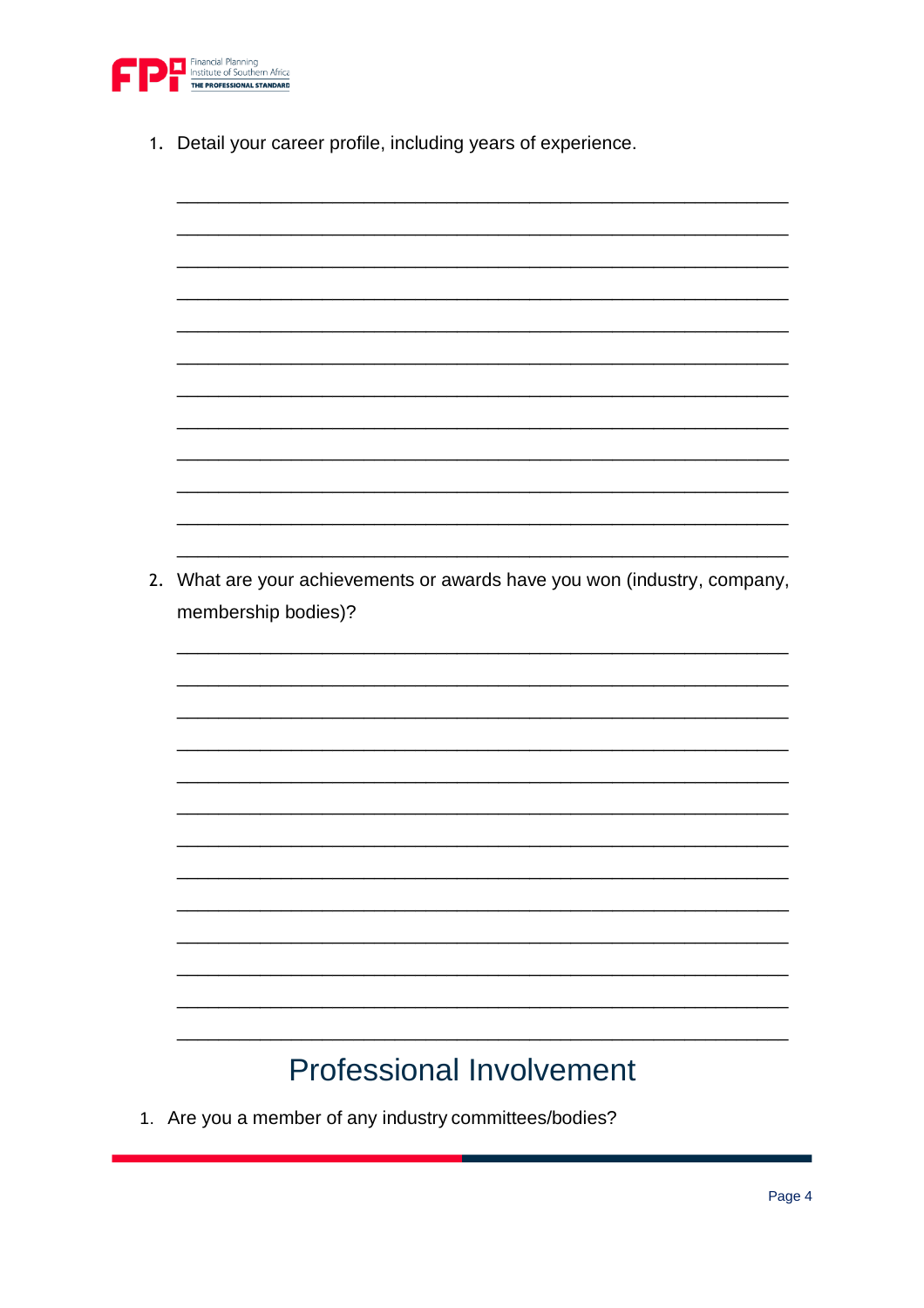

- 1. Detail your career profile, including years of experience.
- 2. What are your achievements or awards have you won (industry, company, membership bodies)? **Professional Involvement**
- 1. Are you a member of any industry committees/bodies?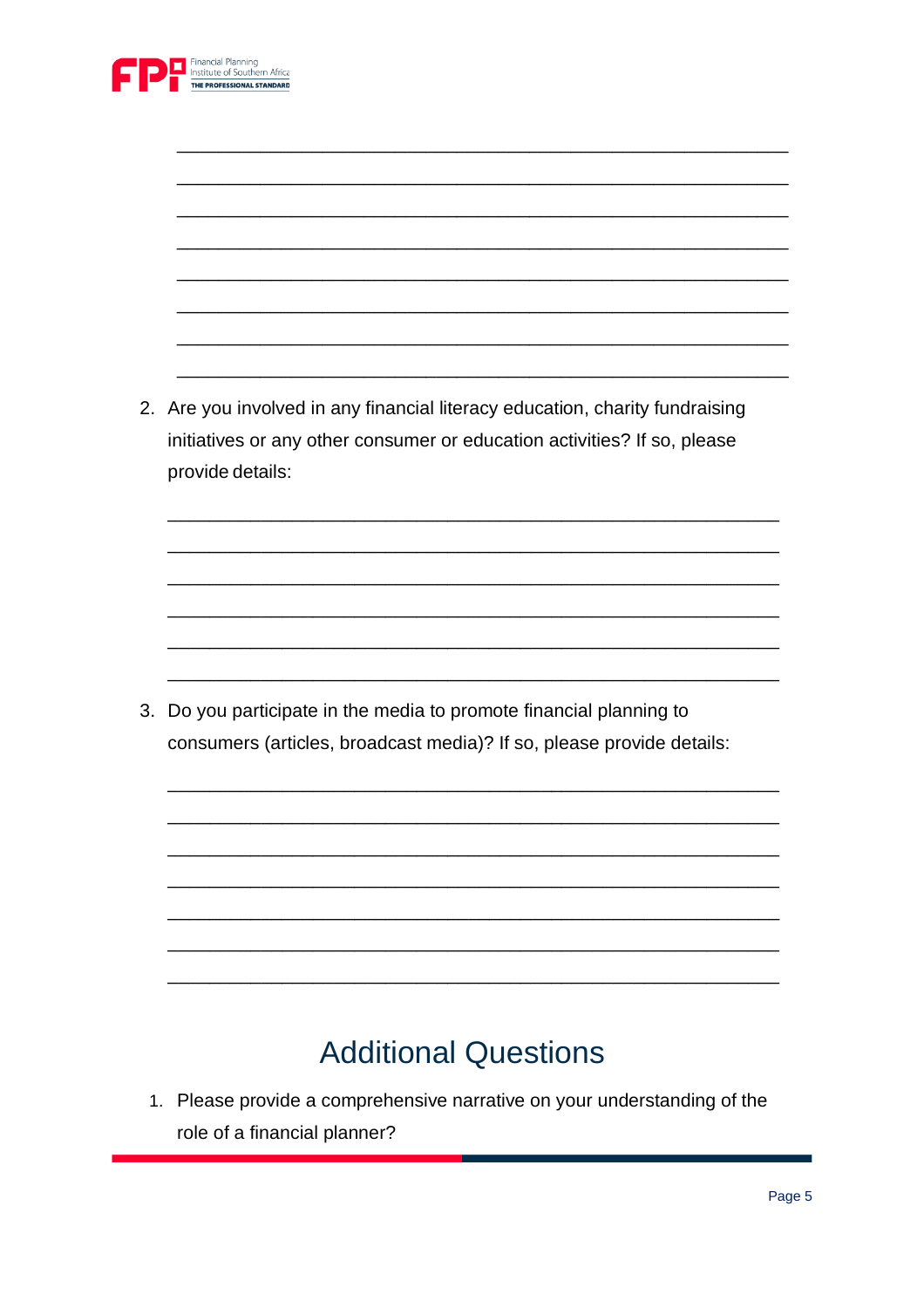

|    | 2. Are you involved in any financial literacy education, charity fundraising                 |
|----|----------------------------------------------------------------------------------------------|
|    | initiatives or any other consumer or education activities? If so, please<br>provide details: |
|    |                                                                                              |
|    |                                                                                              |
|    |                                                                                              |
|    |                                                                                              |
|    |                                                                                              |
|    |                                                                                              |
| 3. | Do you participate in the media to promote financial planning to                             |
|    | consumers (articles, broadcast media)? If so, please provide details:                        |
|    |                                                                                              |
|    |                                                                                              |
|    |                                                                                              |
|    |                                                                                              |
|    |                                                                                              |
|    |                                                                                              |
|    |                                                                                              |
|    |                                                                                              |

## **Additional Questions**

1. Please provide a comprehensive narrative on your understanding of the role of a financial planner?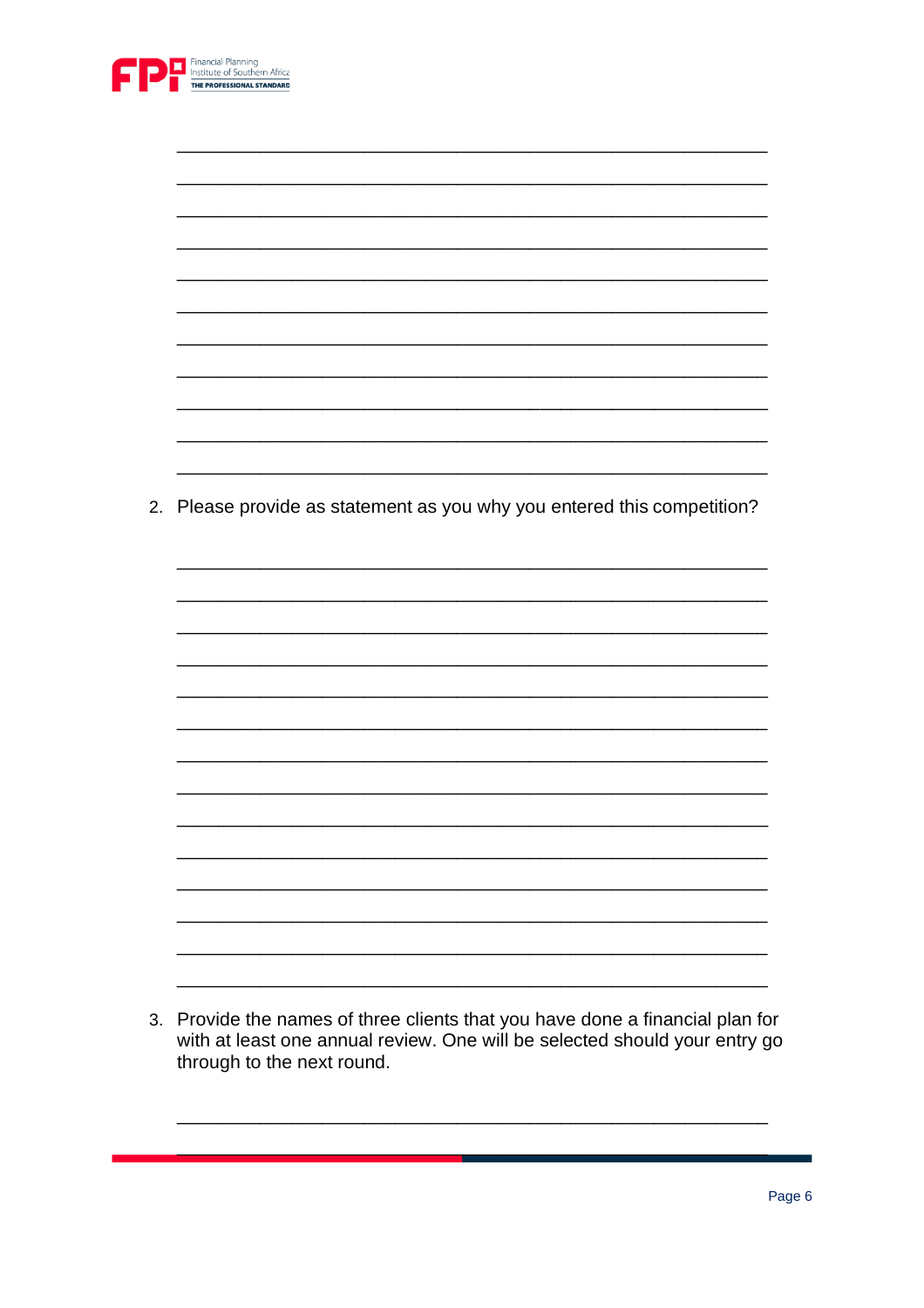

| 2. Please provide as statement as you why you entered this competition? |
|-------------------------------------------------------------------------|
|                                                                         |
|                                                                         |
|                                                                         |
|                                                                         |
|                                                                         |
|                                                                         |
|                                                                         |
|                                                                         |
|                                                                         |
|                                                                         |
|                                                                         |
|                                                                         |
|                                                                         |
|                                                                         |
|                                                                         |
|                                                                         |
|                                                                         |
|                                                                         |
|                                                                         |
|                                                                         |
|                                                                         |

3. Provide the names of three clients that you have done a financial plan for<br>with at least one annual review. One will be selected should your entry go through to the next round.